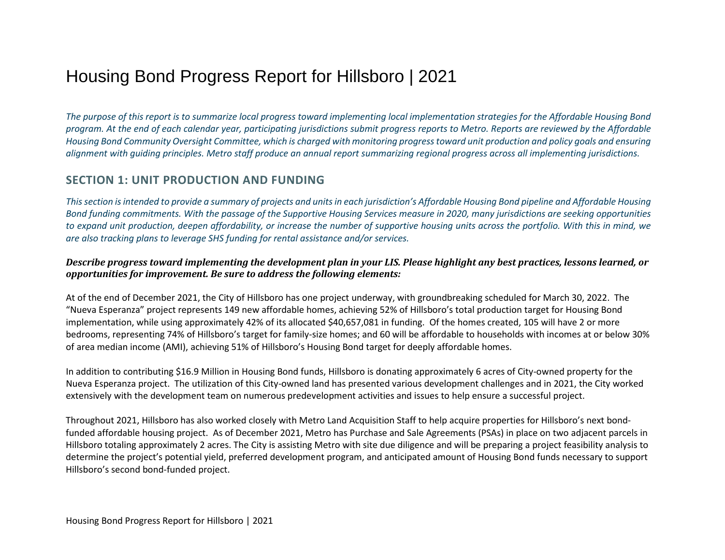# Housing Bond Progress Report for Hillsboro | 2021

*The purpose of this report is to summarize local progress toward implementing local implementation strategies for the Affordable Housing Bond program. At the end of each calendar year, participating jurisdictions submit progress reports to Metro. Reports are reviewed by the Affordable Housing Bond Community Oversight Committee, which is charged with monitoring progress toward unit production and policy goals and ensuring alignment with guiding principles. Metro staff produce an annual report summarizing regional progress across all implementing jurisdictions.* 

# **SECTION 1: UNIT PRODUCTION AND FUNDING**

*This section is intended to provide a summary of projects and units in each jurisdiction's Affordable Housing Bond pipeline and Affordable Housing Bond funding commitments. With the passage of the Supportive Housing Services measure in 2020, many jurisdictions are seeking opportunities to expand unit production, deepen affordability, or increase the number of supportive housing units across the portfolio. With this in mind, we are also tracking plans to leverage SHS funding for rental assistance and/or services.* 

### *Describe progress toward implementing the development plan in your LIS. Please highlight any best practices, lessons learned, or opportunities for improvement. Be sure to address the following elements:*

At of the end of December 2021, the City of Hillsboro has one project underway, with groundbreaking scheduled for March 30, 2022. The "Nueva Esperanza" project represents 149 new affordable homes, achieving 52% of Hillsboro's total production target for Housing Bond implementation, while using approximately 42% of its allocated \$40,657,081 in funding. Of the homes created, 105 will have 2 or more bedrooms, representing 74% of Hillsboro's target for family-size homes; and 60 will be affordable to households with incomes at or below 30% of area median income (AMI), achieving 51% of Hillsboro's Housing Bond target for deeply affordable homes.

In addition to contributing \$16.9 Million in Housing Bond funds, Hillsboro is donating approximately 6 acres of City-owned property for the Nueva Esperanza project. The utilization of this City-owned land has presented various development challenges and in 2021, the City worked extensively with the development team on numerous predevelopment activities and issues to help ensure a successful project.

Throughout 2021, Hillsboro has also worked closely with Metro Land Acquisition Staff to help acquire properties for Hillsboro's next bondfunded affordable housing project. As of December 2021, Metro has Purchase and Sale Agreements (PSAs) in place on two adjacent parcels in Hillsboro totaling approximately 2 acres. The City is assisting Metro with site due diligence and will be preparing a project feasibility analysis to determine the project's potential yield, preferred development program, and anticipated amount of Housing Bond funds necessary to support Hillsboro's second bond-funded project.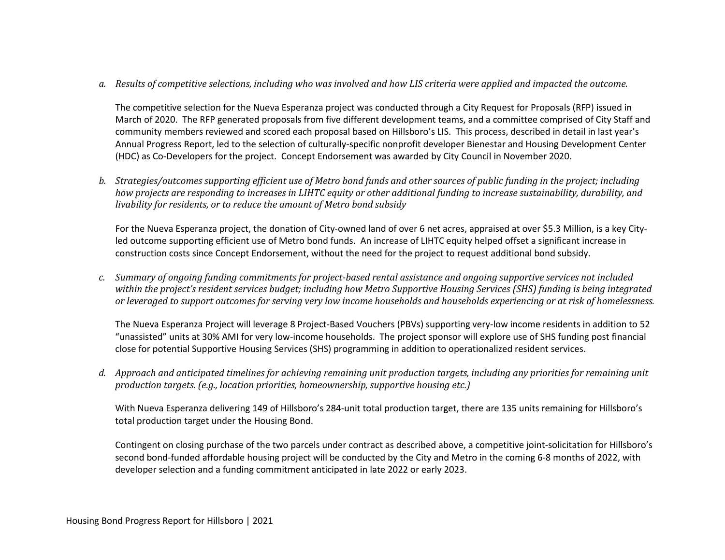*a. Results of competitive selections, including who was involved and how LIS criteria were applied and impacted the outcome.*

The competitive selection for the Nueva Esperanza project was conducted through a City Request for Proposals (RFP) issued in March of 2020. The RFP generated proposals from five different development teams, and a committee comprised of City Staff and community members reviewed and scored each proposal based on Hillsboro's LIS. This process, described in detail in last year's Annual Progress Report, led to the selection of culturally-specific nonprofit developer Bienestar and Housing Development Center (HDC) as Co-Developers for the project. Concept Endorsement was awarded by City Council in November 2020.

*b. Strategies/outcomes supporting efficient use of Metro bond funds and other sources of public funding in the project; including how projects are responding to increases in LIHTC equity or other additional funding to increase sustainability, durability, and livability for residents, or to reduce the amount of Metro bond subsidy*

For the Nueva Esperanza project, the donation of City-owned land of over 6 net acres, appraised at over \$5.3 Million, is a key Cityled outcome supporting efficient use of Metro bond funds. An increase of LIHTC equity helped offset a significant increase in construction costs since Concept Endorsement, without the need for the project to request additional bond subsidy.

*c. Summary of ongoing funding commitments for project-based rental assistance and ongoing supportive services not included within the project's resident services budget; including how Metro Supportive Housing Services (SHS) funding is being integrated or leveraged to support outcomes for serving very low income households and households experiencing or at risk of homelessness.*

The Nueva Esperanza Project will leverage 8 Project-Based Vouchers (PBVs) supporting very-low income residents in addition to 52 "unassisted" units at 30% AMI for very low-income households. The project sponsor will explore use of SHS funding post financial close for potential Supportive Housing Services (SHS) programming in addition to operationalized resident services.

*d. Approach and anticipated timelines for achieving remaining unit production targets, including any priorities for remaining unit production targets. (e.g., location priorities, homeownership, supportive housing etc.)* 

With Nueva Esperanza delivering 149 of Hillsboro's 284-unit total production target, there are 135 units remaining for Hillsboro's total production target under the Housing Bond.

Contingent on closing purchase of the two parcels under contract as described above, a competitive joint-solicitation for Hillsboro's second bond-funded affordable housing project will be conducted by the City and Metro in the coming 6-8 months of 2022, with developer selection and a funding commitment anticipated in late 2022 or early 2023.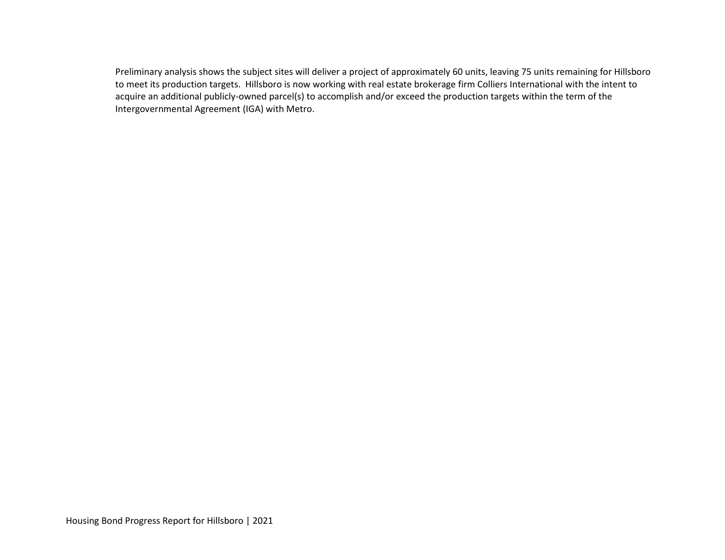Preliminary analysis shows the subject sites will deliver a project of approximately 60 units, leaving 75 units remaining for Hillsboro to meet its production targets. Hillsboro is now working with real estate brokerage firm Colliers International with the intent to acquire an additional publicly-owned parcel(s) to accomplish and/or exceed the production targets within the term of the Intergovernmental Agreement (IGA) with Metro.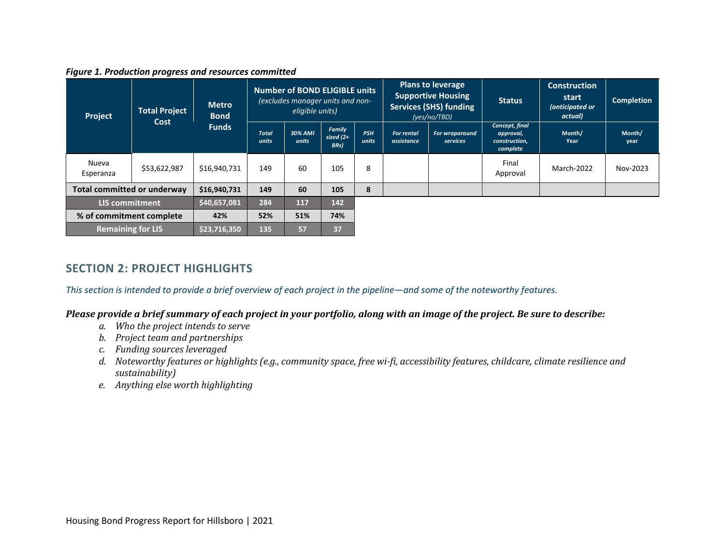#### *Figure 1. Production progress and resources committed*

| Project                     | <b>Total Project</b><br>Cost | <b>Metro</b><br><b>Bond</b><br><b>Funds</b> | <b>Number of BOND ELIGIBLE units</b><br>(excludes manager units and non-<br>eligible units) |                  |                                | <b>Plans to leverage</b><br><b>Supportive Housing</b><br><b>Services (SHS) funding</b><br>(yes/no/TBD) |                                 | <b>Status</b>                     | <b>Construction</b><br>start<br>(anticipated or<br>actual) | <b>Completion</b> |                |
|-----------------------------|------------------------------|---------------------------------------------|---------------------------------------------------------------------------------------------|------------------|--------------------------------|--------------------------------------------------------------------------------------------------------|---------------------------------|-----------------------------------|------------------------------------------------------------|-------------------|----------------|
|                             |                              |                                             | <b>Total</b><br>units                                                                       | 30% AMI<br>units | Family<br>sized $(2+)$<br>BRs) | <b>PSH</b><br>units                                                                                    | <b>For rental</b><br>assistance | <b>For wraparound</b><br>services | Concept, final<br>approval,<br>construction,<br>complete   | Month/<br>Year    | Month/<br>year |
| Nueva<br>Esperanza          | \$53,622,987                 | \$16,940,731                                | 149                                                                                         | 60               | 105                            | 8                                                                                                      |                                 |                                   | Final<br>Approval                                          | March-2022        | Nov-2023       |
| Total committed or underway |                              | \$16,940,731                                | 149                                                                                         | 60               | 105                            | 8                                                                                                      |                                 |                                   |                                                            |                   |                |
| <b>LIS commitment</b>       |                              | \$40,657,081                                | 284                                                                                         | 117              | 142                            |                                                                                                        |                                 |                                   |                                                            |                   |                |
| % of commitment complete    |                              | 42%                                         | 52%                                                                                         | 51%              | 74%                            |                                                                                                        |                                 |                                   |                                                            |                   |                |
| <b>Remaining for LIS</b>    |                              | \$23,716,350                                | 135                                                                                         | 57               | 37                             |                                                                                                        |                                 |                                   |                                                            |                   |                |

# **SECTION 2: PROJECT HIGHLIGHTS**

*This section is intended to provide a brief overview of each project in the pipeline—and some of the noteworthy features.* 

### *Please provide a brief summary of each project in your portfolio, along with an image of the project. Be sure to describe:*

- *a. Who the project intends to serve*
- *b. Project team and partnerships*
- *c. Funding sources leveraged*
- *d. Noteworthy features or highlights (e.g., community space, free wi-fi, accessibility features, childcare, climate resilience and sustainability)*
- *e. Anything else worth highlighting*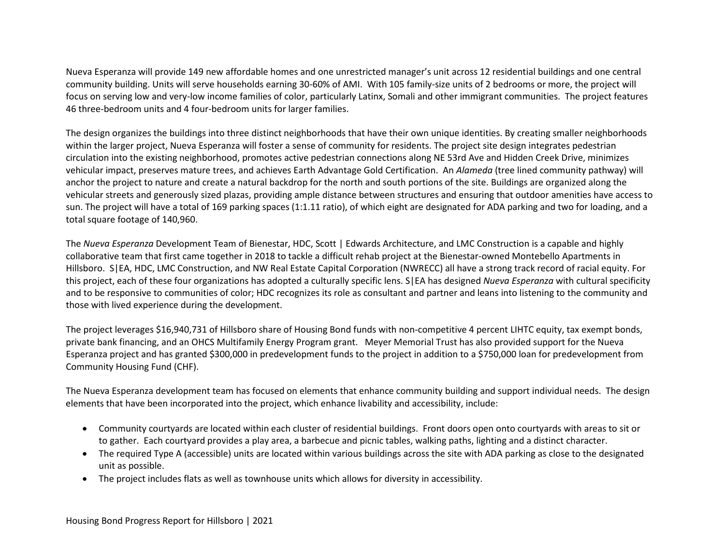Nueva Esperanza will provide 149 new affordable homes and one unrestricted manager's unit across 12 residential buildings and one central community building. Units will serve households earning 30-60% of AMI. With 105 family-size units of 2 bedrooms or more, the project will focus on serving low and very-low income families of color, particularly Latinx, Somali and other immigrant communities. The project features 46 three-bedroom units and 4 four-bedroom units for larger families.

The design organizes the buildings into three distinct neighborhoods that have their own unique identities. By creating smaller neighborhoods within the larger project, Nueva Esperanza will foster a sense of community for residents. The project site design integrates pedestrian circulation into the existing neighborhood, promotes active pedestrian connections along NE 53rd Ave and Hidden Creek Drive, minimizes vehicular impact, preserves mature trees, and achieves Earth Advantage Gold Certification. An *Alameda* (tree lined community pathway) will anchor the project to nature and create a natural backdrop for the north and south portions of the site. Buildings are organized along the vehicular streets and generously sized plazas, providing ample distance between structures and ensuring that outdoor amenities have access to sun. The project will have a total of 169 parking spaces (1:1.11 ratio), of which eight are designated for ADA parking and two for loading, and a total square footage of 140,960.

The *Nueva Esperanza* Development Team of Bienestar, HDC, Scott | Edwards Architecture, and LMC Construction is a capable and highly collaborative team that first came together in 2018 to tackle a difficult rehab project at the Bienestar-owned Montebello Apartments in Hillsboro. S|EA, HDC, LMC Construction, and NW Real Estate Capital Corporation (NWRECC) all have a strong track record of racial equity. For this project, each of these four organizations has adopted a culturally specific lens. S|EA has designed *Nueva Esperanza* with cultural specificity and to be responsive to communities of color; HDC recognizes its role as consultant and partner and leans into listening to the community and those with lived experience during the development.

The project leverages \$16,940,731 of Hillsboro share of Housing Bond funds with non-competitive 4 percent LIHTC equity, tax exempt bonds, private bank financing, and an OHCS Multifamily Energy Program grant. Meyer Memorial Trust has also provided support for the Nueva Esperanza project and has granted \$300,000 in predevelopment funds to the project in addition to a \$750,000 loan for predevelopment from Community Housing Fund (CHF).

The Nueva Esperanza development team has focused on elements that enhance community building and support individual needs. The design elements that have been incorporated into the project, which enhance livability and accessibility, include:

- Community courtyards are located within each cluster of residential buildings. Front doors open onto courtyards with areas to sit or to gather. Each courtyard provides a play area, a barbecue and picnic tables, walking paths, lighting and a distinct character.
- The required Type A (accessible) units are located within various buildings across the site with ADA parking as close to the designated unit as possible.
- The project includes flats as well as townhouse units which allows for diversity in accessibility.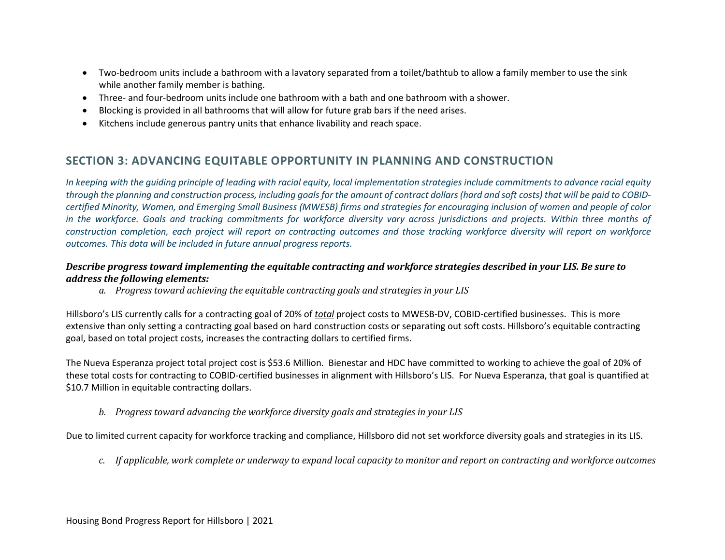- Two-bedroom units include a bathroom with a lavatory separated from a toilet/bathtub to allow a family member to use the sink while another family member is bathing.
- Three- and four-bedroom units include one bathroom with a bath and one bathroom with a shower.
- Blocking is provided in all bathrooms that will allow for future grab bars if the need arises.
- Kitchens include generous pantry units that enhance livability and reach space.

# **SECTION 3: ADVANCING EQUITABLE OPPORTUNITY IN PLANNING AND CONSTRUCTION**

*In keeping with the guiding principle of leading with racial equity, local implementation strategies include commitments to advance racial equity through the planning and construction process, including goals for the amount of contract dollars (hard and soft costs) that will be paid to COBIDcertified Minority, Women, and Emerging Small Business (MWESB) firms and strategies for encouraging inclusion of women and people of color in the workforce. Goals and tracking commitments for workforce diversity vary across jurisdictions and projects. Within three months of construction completion, each project will report on contracting outcomes and those tracking workforce diversity will report on workforce outcomes. This data will be included in future annual progress reports.* 

### *Describe progress toward implementing the equitable contracting and workforce strategies described in your LIS. Be sure to address the following elements:*

*a. Progress toward achieving the equitable contracting goals and strategies in your LIS*

Hillsboro's LIS currently calls for a contracting goal of 20% of *total* project costs to MWESB-DV, COBID-certified businesses. This is more extensive than only setting a contracting goal based on hard construction costs or separating out soft costs. Hillsboro's equitable contracting goal, based on total project costs, increases the contracting dollars to certified firms.

The Nueva Esperanza project total project cost is \$53.6 Million. Bienestar and HDC have committed to working to achieve the goal of 20% of these total costs for contracting to COBID-certified businesses in alignment with Hillsboro's LIS. For Nueva Esperanza, that goal is quantified at \$10.7 Million in equitable contracting dollars.

*b. Progress toward advancing the workforce diversity goals and strategies in your LIS*

Due to limited current capacity for workforce tracking and compliance, Hillsboro did not set workforce diversity goals and strategies in its LIS.

*c. If applicable, work complete or underway to expand local capacity to monitor and report on contracting and workforce outcomes*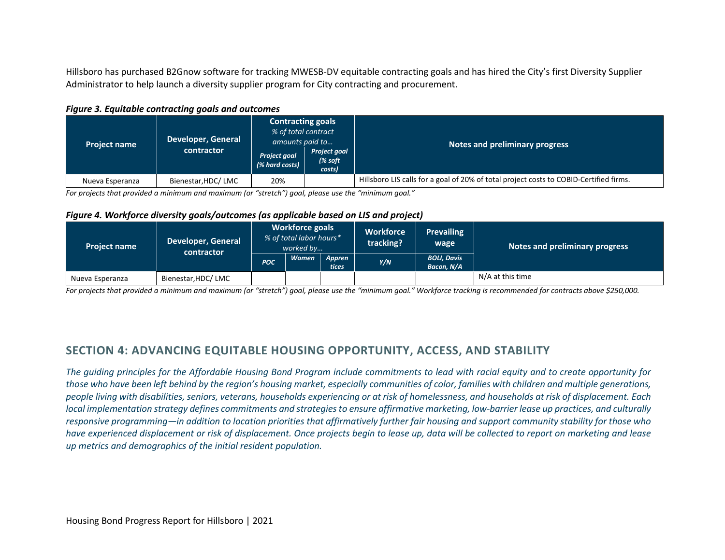Hillsboro has purchased B2Gnow software for tracking MWESB-DV equitable contracting goals and has hired the City's first Diversity Supplier Administrator to help launch a diversity supplier program for City contracting and procurement.

#### *Figure 3. Equitable contracting goals and outcomes*

| <b>Project name</b> | Developer, General | <b>Contracting goals</b><br>% of total contract<br>amounts paid to |                                    | Notes and preliminary progress                                                         |
|---------------------|--------------------|--------------------------------------------------------------------|------------------------------------|----------------------------------------------------------------------------------------|
|                     | contractor         | Project goal<br>(% hard costs)                                     | Project goal<br>$%$ soft<br>costs) |                                                                                        |
| Nueva Esperanza     | Bienestar, HDC/LMC | 20%                                                                |                                    | Hillsboro LIS calls for a goal of 20% of total project costs to COBID-Certified firms. |

*For projects that provided a minimum and maximum (or "stretch") goal, please use the "minimum goal."*

#### *Figure 4. Workforce diversity goals/outcomes (as applicable based on LIS and project)*

| <b>Project name</b> | Developer, General<br>contractor | <b>Workforce goals</b><br>% of total labor hours*<br>worked by |              |                        | <b>Workforce</b><br><b>Prevailing</b><br>tracking?<br>wage |                                  | Notes and preliminary progress |  |
|---------------------|----------------------------------|----------------------------------------------------------------|--------------|------------------------|------------------------------------------------------------|----------------------------------|--------------------------------|--|
|                     |                                  | <b>POC</b>                                                     | <b>Women</b> | <b>Appren</b><br>tices | Y/N                                                        | <b>BOLI, Davis</b><br>Bacon, N/A |                                |  |
| Nueva Esperanza     | Bienestar, HDC/LMC               |                                                                |              |                        |                                                            |                                  | N/A at this time               |  |

*For projects that provided a minimum and maximum (or "stretch") goal, please use the "minimum goal." Workforce tracking is recommended for contracts above \$250,000.*

# **SECTION 4: ADVANCING EQUITABLE HOUSING OPPORTUNITY, ACCESS, AND STABILITY**

*The guiding principles for the Affordable Housing Bond Program include commitments to lead with racial equity and to create opportunity for those who have been left behind by the region's housing market, especially communities of color, families with children and multiple generations, people living with disabilities, seniors, veterans, households experiencing or at risk of homelessness, and households at risk of displacement. Each local implementation strategy defines commitments and strategies to ensure affirmative marketing, low-barrier lease up practices, and culturally responsive programming—in addition to location priorities that affirmatively further fair housing and support community stability for those who have experienced displacement or risk of displacement. Once projects begin to lease up, data will be collected to report on marketing and lease up metrics and demographics of the initial resident population.*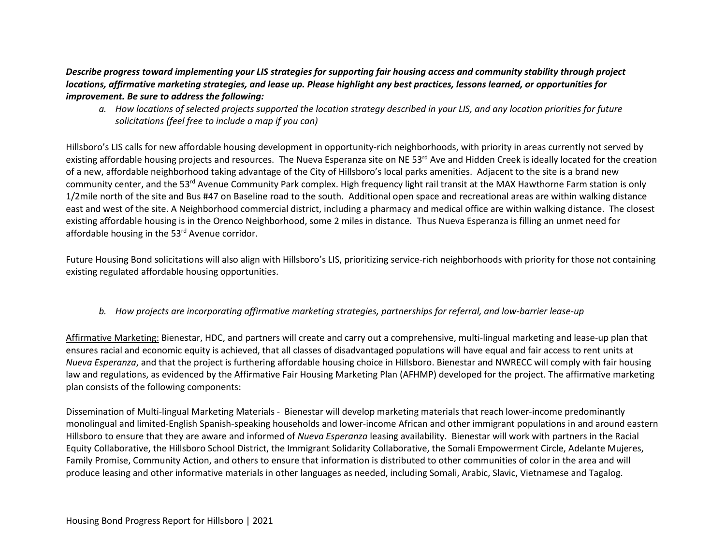*Describe progress toward implementing your LIS strategies for supporting fair housing access and community stability through project locations, affirmative marketing strategies, and lease up. Please highlight any best practices, lessons learned, or opportunities for improvement. Be sure to address the following:* 

*a. How locations of selected projects supported the location strategy described in your LIS, and any location priorities for future solicitations (feel free to include a map if you can)*

Hillsboro's LIS calls for new affordable housing development in opportunity-rich neighborhoods, with priority in areas currently not served by existing affordable housing projects and resources. The Nueva Esperanza site on NE 53<sup>rd</sup> Ave and Hidden Creek is ideally located for the creation of a new, affordable neighborhood taking advantage of the City of Hillsboro's local parks amenities. Adjacent to the site is a brand new community center, and the 53<sup>rd</sup> Avenue Community Park complex. High frequency light rail transit at the MAX Hawthorne Farm station is only 1/2mile north of the site and Bus #47 on Baseline road to the south. Additional open space and recreational areas are within walking distance east and west of the site. A Neighborhood commercial district, including a pharmacy and medical office are within walking distance. The closest existing affordable housing is in the Orenco Neighborhood, some 2 miles in distance. Thus Nueva Esperanza is filling an unmet need for affordable housing in the 53<sup>rd</sup> Avenue corridor.

Future Housing Bond solicitations will also align with Hillsboro's LIS, prioritizing service-rich neighborhoods with priority for those not containing existing regulated affordable housing opportunities.

### *b. How projects are incorporating affirmative marketing strategies, partnerships for referral, and low-barrier lease-up*

Affirmative Marketing: Bienestar, HDC, and partners will create and carry out a comprehensive, multi-lingual marketing and lease-up plan that ensures racial and economic equity is achieved, that all classes of disadvantaged populations will have equal and fair access to rent units at *Nueva Esperanza*, and that the project is furthering affordable housing choice in Hillsboro. Bienestar and NWRECC will comply with fair housing law and regulations, as evidenced by the Affirmative Fair Housing Marketing Plan (AFHMP) developed for the project. The affirmative marketing plan consists of the following components:

Dissemination of Multi-lingual Marketing Materials - Bienestar will develop marketing materials that reach lower-income predominantly monolingual and limited-English Spanish-speaking households and lower-income African and other immigrant populations in and around eastern Hillsboro to ensure that they are aware and informed of *Nueva Esperanza* leasing availability. Bienestar will work with partners in the Racial Equity Collaborative, the Hillsboro School District, the Immigrant Solidarity Collaborative, the Somali Empowerment Circle, Adelante Mujeres, Family Promise, Community Action, and others to ensure that information is distributed to other communities of color in the area and will produce leasing and other informative materials in other languages as needed, including Somali, Arabic, Slavic, Vietnamese and Tagalog.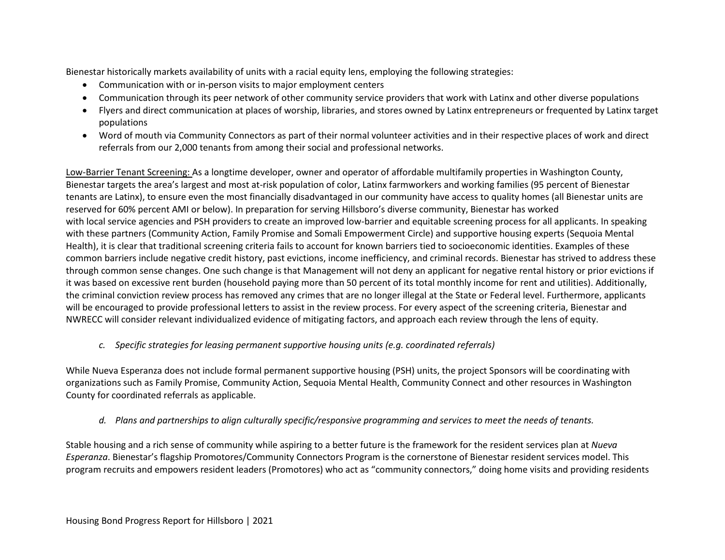Bienestar historically markets availability of units with a racial equity lens, employing the following strategies:

- Communication with or in-person visits to major employment centers
- Communication through its peer network of other community service providers that work with Latinx and other diverse populations
- Flyers and direct communication at places of worship, libraries, and stores owned by Latinx entrepreneurs or frequented by Latinx target populations
- Word of mouth via Community Connectors as part of their normal volunteer activities and in their respective places of work and direct referrals from our 2,000 tenants from among their social and professional networks.

Low-Barrier Tenant Screening: As a longtime developer, owner and operator of affordable multifamily properties in Washington County, Bienestar targets the area's largest and most at-risk population of color, Latinx farmworkers and working families (95 percent of Bienestar tenants are Latinx), to ensure even the most financially disadvantaged in our community have access to quality homes (all Bienestar units are reserved for 60% percent AMI or below). In preparation for serving Hillsboro's diverse community, Bienestar has worked with local service agencies and PSH providers to create an improved low-barrier and equitable screening process for all applicants. In speaking with these partners (Community Action, Family Promise and Somali Empowerment Circle) and supportive housing experts (Sequoia Mental Health), it is clear that traditional screening criteria fails to account for known barriers tied to socioeconomic identities. Examples of these common barriers include negative credit history, past evictions, income inefficiency, and criminal records. Bienestar has strived to address these through common sense changes. One such change is that Management will not deny an applicant for negative rental history or prior evictions if it was based on excessive rent burden (household paying more than 50 percent of its total monthly income for rent and utilities). Additionally, the criminal conviction review process has removed any crimes that are no longer illegal at the State or Federal level. Furthermore, applicants will be encouraged to provide professional letters to assist in the review process. For every aspect of the screening criteria, Bienestar and NWRECC will consider relevant individualized evidence of mitigating factors, and approach each review through the lens of equity.

### *c. Specific strategies for leasing permanent supportive housing units (e.g. coordinated referrals)*

While Nueva Esperanza does not include formal permanent supportive housing (PSH) units, the project Sponsors will be coordinating with organizations such as Family Promise, Community Action, Sequoia Mental Health, Community Connect and other resources in Washington County for coordinated referrals as applicable.

### *d. Plans and partnerships to align culturally specific/responsive programming and services to meet the needs of tenants.*

Stable housing and a rich sense of community while aspiring to a better future is the framework for the resident services plan at *Nueva Esperanza*. Bienestar's flagship Promotores/Community Connectors Program is the cornerstone of Bienestar resident services model. This program recruits and empowers resident leaders (Promotores) who act as "community connectors," doing home visits and providing residents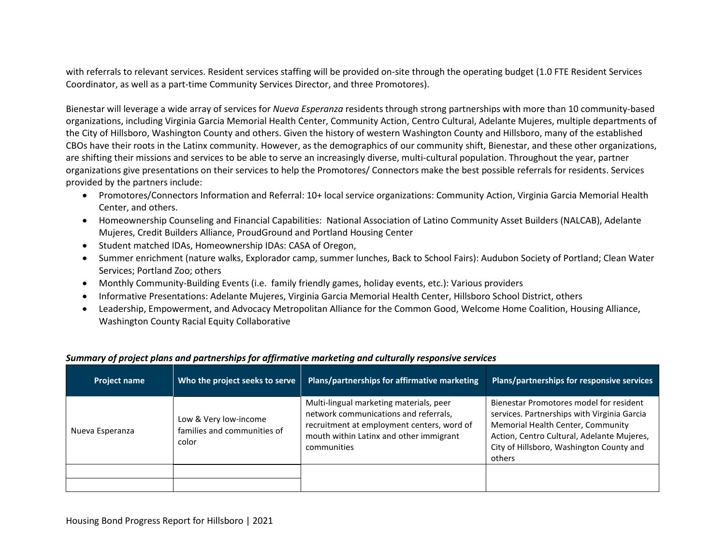with referrals to relevant services. Resident services staffing will be provided on-site through the operating budget (1.0 FTE Resident Services Coordinator, as well as a part-time Community Services Director, and three Promotores).

Bienestar will leverage a wide array of services for *Nueva Esperanza* residents through strong partnerships with more than 10 community-based organizations, including Virginia Garcia Memorial Health Center, Community Action, Centro Cultural, Adelante Mujeres, multiple departments of the City of Hillsboro, Washington County and others. Given the history of western Washington County and Hillsboro, many of the established CBOs have their roots in the Latinx community. However, as the demographics of our community shift, Bienestar, and these other organizations, are shifting their missions and services to be able to serve an increasingly diverse, multi-cultural population. Throughout the year, partner organizations give presentations on their services to help the Promotores/ Connectors make the best possible referrals for residents. Services provided by the partners include:

- Promotores/Connectors Information and Referral: 10+ local service organizations: Community Action, Virginia Garcia Memorial Health Center, and others.
- Homeownership Counseling and Financial Capabilities: National Association of Latino Community Asset Builders (NALCAB), Adelante Mujeres, Credit Builders Alliance, ProudGround and Portland Housing Center
- Student matched IDAs, Homeownership IDAs: CASA of Oregon,
- Summer enrichment (nature walks, Explorador camp, summer lunches, Back to School Fairs): Audubon Society of Portland; Clean Water Services; Portland Zoo; others
- Monthly Community-Building Events (i.e. family friendly games, holiday events, etc.): Various providers
- Informative Presentations: Adelante Mujeres, Virginia Garcia Memorial Health Center, Hillsboro School District, others
- Leadership, Empowerment, and Advocacy Metropolitan Alliance for the Common Good, Welcome Home Coalition, Housing Alliance, Washington County Racial Equity Collaborative

| <b>Project name</b> | Who the project seeks to serve                                | Plans/partnerships for affirmative marketing                                                                                                                                             | Plans/partnerships for responsive services                                                                                                                                                                                      |
|---------------------|---------------------------------------------------------------|------------------------------------------------------------------------------------------------------------------------------------------------------------------------------------------|---------------------------------------------------------------------------------------------------------------------------------------------------------------------------------------------------------------------------------|
| Nueva Esperanza     | Low & Very low-income<br>families and communities of<br>color | Multi-lingual marketing materials, peer<br>network communications and referrals,<br>recruitment at employment centers, word of<br>mouth within Latinx and other immigrant<br>communities | Bienestar Promotores model for resident<br>services. Partnerships with Virginia Garcia<br>Memorial Health Center, Community<br>Action, Centro Cultural, Adelante Mujeres,<br>City of Hillsboro, Washington County and<br>others |
|                     |                                                               |                                                                                                                                                                                          |                                                                                                                                                                                                                                 |
|                     |                                                               |                                                                                                                                                                                          |                                                                                                                                                                                                                                 |

#### *Summary of project plans and partnerships for affirmative marketing and culturally responsive services*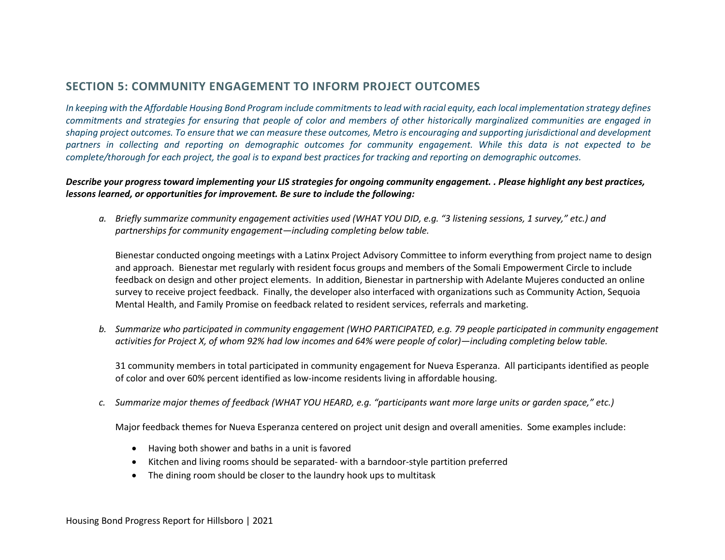# **SECTION 5: COMMUNITY ENGAGEMENT TO INFORM PROJECT OUTCOMES**

*In keeping with the Affordable Housing Bond Program include commitments to lead with racial equity, each local implementation strategy defines commitments and strategies for ensuring that people of color and members of other historically marginalized communities are engaged in shaping project outcomes. To ensure that we can measure these outcomes, Metro is encouraging and supporting jurisdictional and development partners in collecting and reporting on demographic outcomes for community engagement. While this data is not expected to be complete/thorough for each project, the goal is to expand best practices for tracking and reporting on demographic outcomes.* 

### *Describe your progress toward implementing your LIS strategies for ongoing community engagement. . Please highlight any best practices, lessons learned, or opportunities for improvement. Be sure to include the following:*

*a. Briefly summarize community engagement activities used (WHAT YOU DID, e.g. "3 listening sessions, 1 survey," etc.) and partnerships for community engagement—including completing below table.*

Bienestar conducted ongoing meetings with a Latinx Project Advisory Committee to inform everything from project name to design and approach. Bienestar met regularly with resident focus groups and members of the Somali Empowerment Circle to include feedback on design and other project elements. In addition, Bienestar in partnership with Adelante Mujeres conducted an online survey to receive project feedback. Finally, the developer also interfaced with organizations such as Community Action, Sequoia Mental Health, and Family Promise on feedback related to resident services, referrals and marketing.

*b. Summarize who participated in community engagement (WHO PARTICIPATED, e.g. 79 people participated in community engagement activities for Project X, of whom 92% had low incomes and 64% were people of color)—including completing below table.*

31 community members in total participated in community engagement for Nueva Esperanza. All participants identified as people of color and over 60% percent identified as low-income residents living in affordable housing.

*c. Summarize major themes of feedback (WHAT YOU HEARD, e.g. "participants want more large units or garden space," etc.)*

Major feedback themes for Nueva Esperanza centered on project unit design and overall amenities. Some examples include:

- Having both shower and baths in a unit is favored
- Kitchen and living rooms should be separated- with a barndoor-style partition preferred
- The dining room should be closer to the laundry hook ups to multitask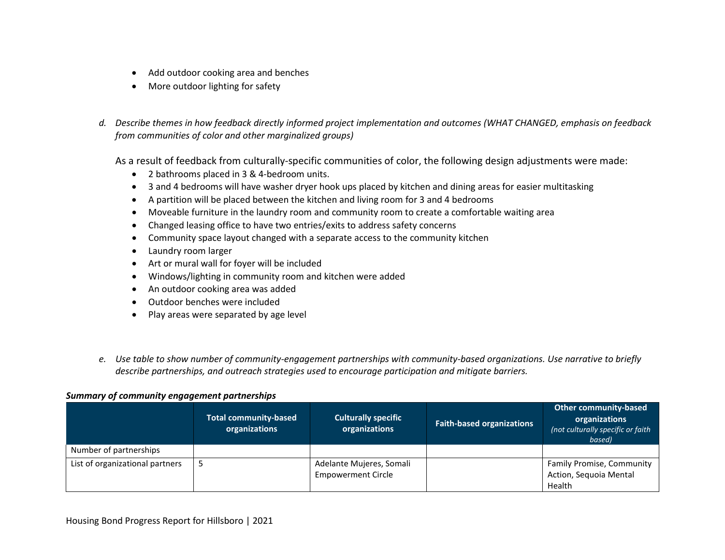- Add outdoor cooking area and benches
- More outdoor lighting for safety
- *d. Describe themes in how feedback directly informed project implementation and outcomes (WHAT CHANGED, emphasis on feedback from communities of color and other marginalized groups)*

As a result of feedback from culturally-specific communities of color, the following design adjustments were made:

- 2 bathrooms placed in 3 & 4-bedroom units.
- 3 and 4 bedrooms will have washer dryer hook ups placed by kitchen and dining areas for easier multitasking
- A partition will be placed between the kitchen and living room for 3 and 4 bedrooms
- Moveable furniture in the laundry room and community room to create a comfortable waiting area
- Changed leasing office to have two entries/exits to address safety concerns
- Community space layout changed with a separate access to the community kitchen
- Laundry room larger
- Art or mural wall for foyer will be included
- Windows/lighting in community room and kitchen were added
- An outdoor cooking area was added
- Outdoor benches were included
- Play areas were separated by age level
- *e. Use table to show number of community-engagement partnerships with community-based organizations. Use narrative to briefly describe partnerships, and outreach strategies used to encourage participation and mitigate barriers.*

#### *Summary of community engagement partnerships*

|                                 | <b>Total community-based</b><br>organizations | <b>Culturally specific</b><br>organizations           | <b>Faith-based organizations</b> | <b>Other community-based</b><br>organizations<br>(not culturally specific or faith<br>based) |  |
|---------------------------------|-----------------------------------------------|-------------------------------------------------------|----------------------------------|----------------------------------------------------------------------------------------------|--|
| Number of partnerships          |                                               |                                                       |                                  |                                                                                              |  |
| List of organizational partners |                                               | Adelante Mujeres, Somali<br><b>Empowerment Circle</b> |                                  | Family Promise, Community<br>Action, Sequoia Mental<br>Health                                |  |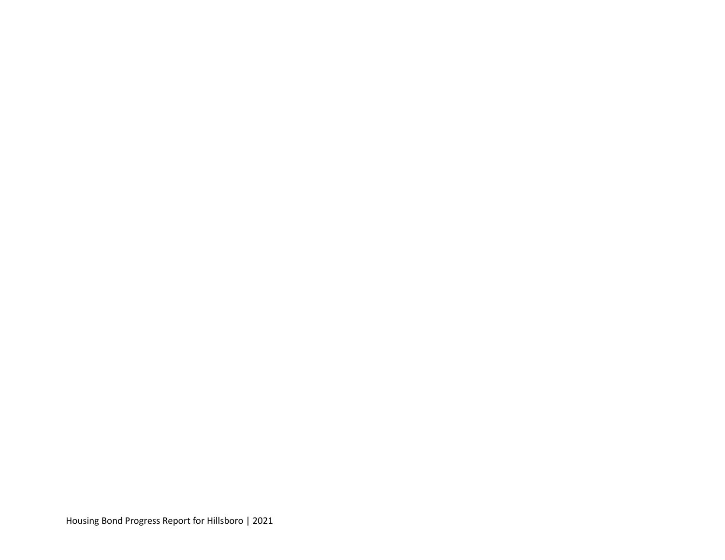Housing Bond Progress Report for Hillsboro | 2021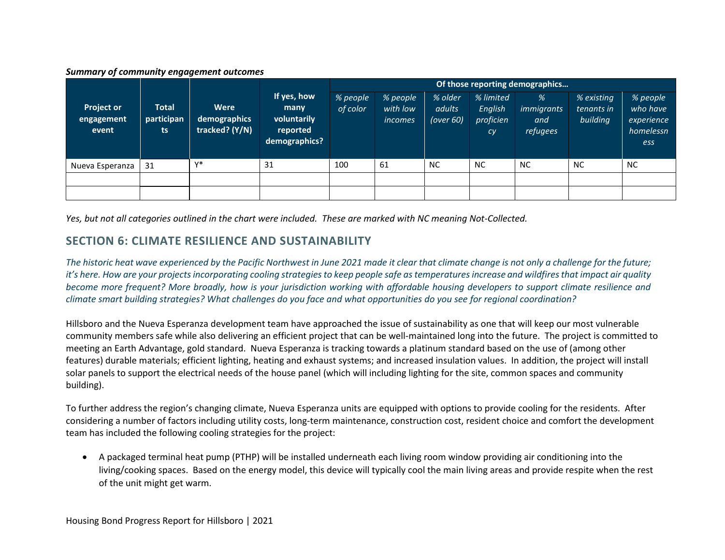#### *Summary of community engagement outcomes*

|                                          |                                  |                                        |                                                                 | Of those reporting demographics |                                        |                                   |                                         |                                           |                                      |                                                        |  |
|------------------------------------------|----------------------------------|----------------------------------------|-----------------------------------------------------------------|---------------------------------|----------------------------------------|-----------------------------------|-----------------------------------------|-------------------------------------------|--------------------------------------|--------------------------------------------------------|--|
| <b>Project or</b><br>engagement<br>event | <b>Total</b><br>participan<br>ts | Were<br>demographics<br>tracked? (Y/N) | If yes, how<br>many<br>voluntarily<br>reported<br>demographics? | % people<br>of color            | % people<br>with low<br><i>incomes</i> | % older<br>adults<br>(over $60$ ) | % limited<br>English<br>proficien<br>cy | %<br><i>immigrants</i><br>and<br>refugees | % existing<br>tenants in<br>building | % people<br>who have<br>experience<br>homelessn<br>ess |  |
| Nueva Esperanza                          | 31                               | v*                                     | 31                                                              | 100                             | 61                                     | <b>NC</b>                         | <b>NC</b>                               | <b>NC</b>                                 | <b>NC</b>                            | <b>NC</b>                                              |  |
|                                          |                                  |                                        |                                                                 |                                 |                                        |                                   |                                         |                                           |                                      |                                                        |  |
|                                          |                                  |                                        |                                                                 |                                 |                                        |                                   |                                         |                                           |                                      |                                                        |  |

*Yes, but not all categories outlined in the chart were included. These are marked with NC meaning Not-Collected.*

# **SECTION 6: CLIMATE RESILIENCE AND SUSTAINABILITY**

*The historic heat wave experienced by the Pacific Northwest in June 2021 made it clear that climate change is not only a challenge for the future; it's here. How are your projects incorporating cooling strategies to keep people safe as temperatures increase and wildfires that impact air quality become more frequent? More broadly, how is your jurisdiction working with affordable housing developers to support climate resilience and climate smart building strategies? What challenges do you face and what opportunities do you see for regional coordination?* 

Hillsboro and the Nueva Esperanza development team have approached the issue of sustainability as one that will keep our most vulnerable community members safe while also delivering an efficient project that can be well-maintained long into the future. The project is committed to meeting an Earth Advantage, gold standard. Nueva Esperanza is tracking towards a platinum standard based on the use of (among other features) durable materials; efficient lighting, heating and exhaust systems; and increased insulation values. In addition, the project will install solar panels to support the electrical needs of the house panel (which will including lighting for the site, common spaces and community building).

To further address the region's changing climate, Nueva Esperanza units are equipped with options to provide cooling for the residents. After considering a number of factors including utility costs, long-term maintenance, construction cost, resident choice and comfort the development team has included the following cooling strategies for the project:

• A packaged terminal heat pump (PTHP) will be installed underneath each living room window providing air conditioning into the living/cooking spaces. Based on the energy model, this device will typically cool the main living areas and provide respite when the rest of the unit might get warm.